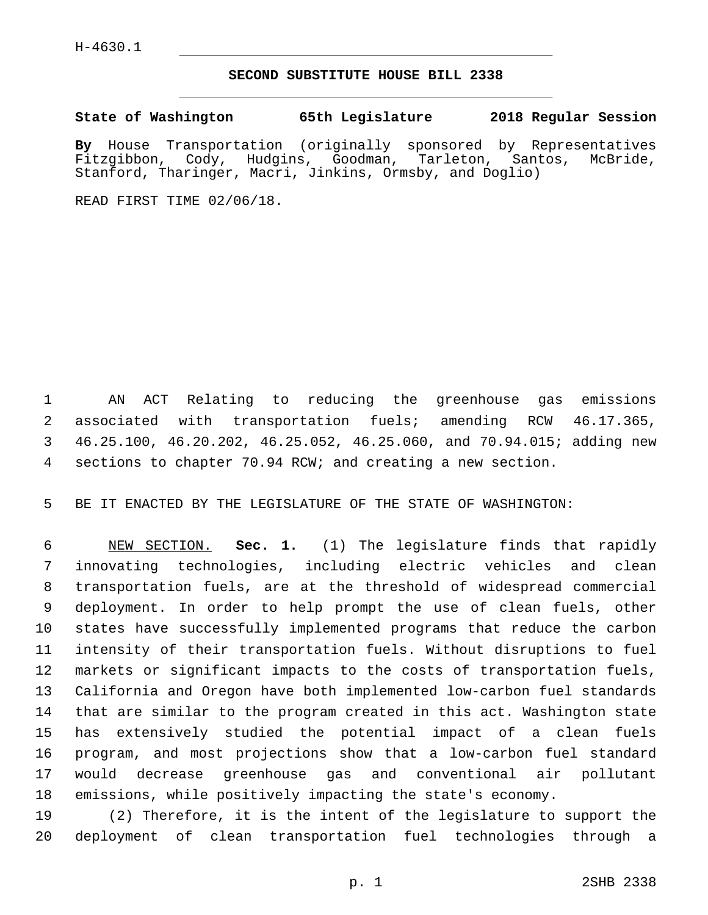## **SECOND SUBSTITUTE HOUSE BILL 2338**

**State of Washington 65th Legislature 2018 Regular Session**

**By** House Transportation (originally sponsored by Representatives Fitzgibbon, Cody, Hudgins, Goodman, Tarleton, Santos, McBride, Stanford, Tharinger, Macri, Jinkins, Ormsby, and Doglio)

READ FIRST TIME 02/06/18.

 AN ACT Relating to reducing the greenhouse gas emissions associated with transportation fuels; amending RCW 46.17.365, 46.25.100, 46.20.202, 46.25.052, 46.25.060, and 70.94.015; adding new sections to chapter 70.94 RCW; and creating a new section.

BE IT ENACTED BY THE LEGISLATURE OF THE STATE OF WASHINGTON:

 NEW SECTION. **Sec. 1.** (1) The legislature finds that rapidly innovating technologies, including electric vehicles and clean transportation fuels, are at the threshold of widespread commercial deployment. In order to help prompt the use of clean fuels, other states have successfully implemented programs that reduce the carbon intensity of their transportation fuels. Without disruptions to fuel markets or significant impacts to the costs of transportation fuels, California and Oregon have both implemented low-carbon fuel standards that are similar to the program created in this act. Washington state has extensively studied the potential impact of a clean fuels program, and most projections show that a low-carbon fuel standard would decrease greenhouse gas and conventional air pollutant emissions, while positively impacting the state's economy.

 (2) Therefore, it is the intent of the legislature to support the deployment of clean transportation fuel technologies through a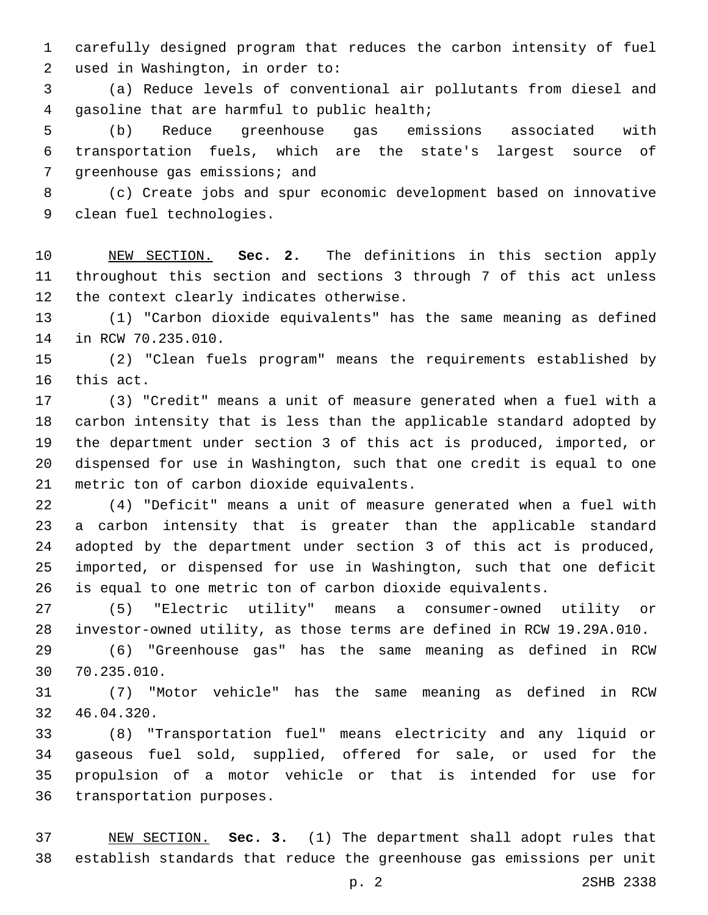carefully designed program that reduces the carbon intensity of fuel 2 used in Washington, in order to:

 (a) Reduce levels of conventional air pollutants from diesel and 4 qasoline that are harmful to public health;

 (b) Reduce greenhouse gas emissions associated with transportation fuels, which are the state's largest source of 7 greenhouse gas emissions; and

 (c) Create jobs and spur economic development based on innovative 9 clean fuel technologies.

 NEW SECTION. **Sec. 2.** The definitions in this section apply throughout this section and sections 3 through 7 of this act unless the context clearly indicates otherwise.

 (1) "Carbon dioxide equivalents" has the same meaning as defined 14 in RCW 70.235.010.

 (2) "Clean fuels program" means the requirements established by 16 this act.

 (3) "Credit" means a unit of measure generated when a fuel with a carbon intensity that is less than the applicable standard adopted by the department under section 3 of this act is produced, imported, or dispensed for use in Washington, such that one credit is equal to one 21 metric ton of carbon dioxide equivalents.

 (4) "Deficit" means a unit of measure generated when a fuel with a carbon intensity that is greater than the applicable standard adopted by the department under section 3 of this act is produced, imported, or dispensed for use in Washington, such that one deficit is equal to one metric ton of carbon dioxide equivalents.

 (5) "Electric utility" means a consumer-owned utility or investor-owned utility, as those terms are defined in RCW 19.29A.010.

 (6) "Greenhouse gas" has the same meaning as defined in RCW 70.235.010.30

 (7) "Motor vehicle" has the same meaning as defined in RCW 32 46.04.320.

 (8) "Transportation fuel" means electricity and any liquid or gaseous fuel sold, supplied, offered for sale, or used for the propulsion of a motor vehicle or that is intended for use for 36 transportation purposes.

 NEW SECTION. **Sec. 3.** (1) The department shall adopt rules that establish standards that reduce the greenhouse gas emissions per unit

p. 2 2SHB 2338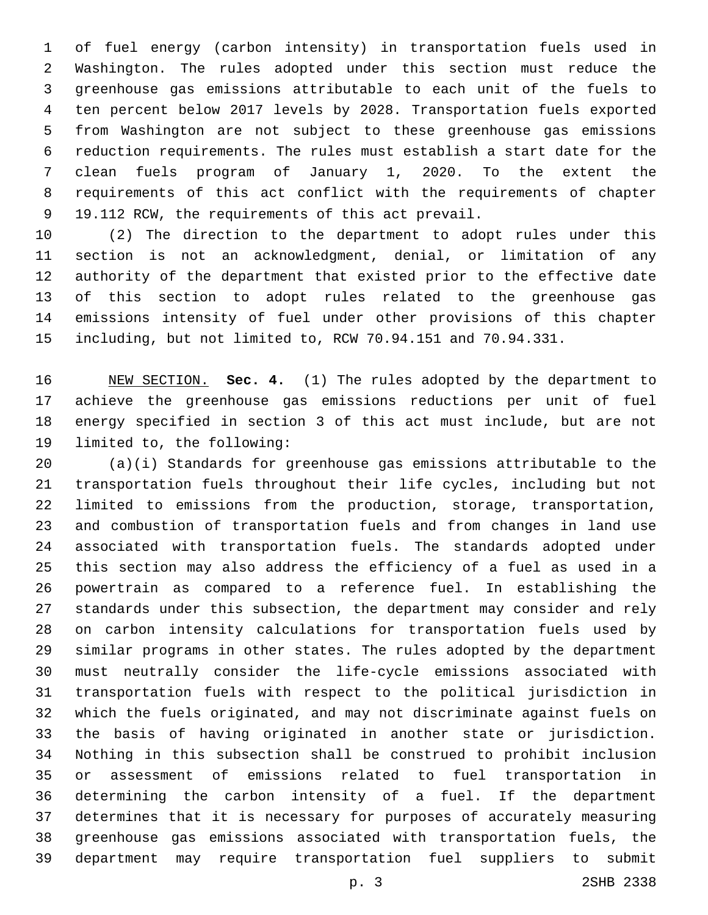of fuel energy (carbon intensity) in transportation fuels used in Washington. The rules adopted under this section must reduce the greenhouse gas emissions attributable to each unit of the fuels to ten percent below 2017 levels by 2028. Transportation fuels exported from Washington are not subject to these greenhouse gas emissions reduction requirements. The rules must establish a start date for the clean fuels program of January 1, 2020. To the extent the requirements of this act conflict with the requirements of chapter 9 19.112 RCW, the requirements of this act prevail.

 (2) The direction to the department to adopt rules under this section is not an acknowledgment, denial, or limitation of any authority of the department that existed prior to the effective date of this section to adopt rules related to the greenhouse gas emissions intensity of fuel under other provisions of this chapter including, but not limited to, RCW 70.94.151 and 70.94.331.

 NEW SECTION. **Sec. 4.** (1) The rules adopted by the department to achieve the greenhouse gas emissions reductions per unit of fuel energy specified in section 3 of this act must include, but are not limited to, the following:

 (a)(i) Standards for greenhouse gas emissions attributable to the transportation fuels throughout their life cycles, including but not limited to emissions from the production, storage, transportation, and combustion of transportation fuels and from changes in land use associated with transportation fuels. The standards adopted under this section may also address the efficiency of a fuel as used in a powertrain as compared to a reference fuel. In establishing the standards under this subsection, the department may consider and rely on carbon intensity calculations for transportation fuels used by similar programs in other states. The rules adopted by the department must neutrally consider the life-cycle emissions associated with transportation fuels with respect to the political jurisdiction in which the fuels originated, and may not discriminate against fuels on the basis of having originated in another state or jurisdiction. Nothing in this subsection shall be construed to prohibit inclusion or assessment of emissions related to fuel transportation in determining the carbon intensity of a fuel. If the department determines that it is necessary for purposes of accurately measuring greenhouse gas emissions associated with transportation fuels, the department may require transportation fuel suppliers to submit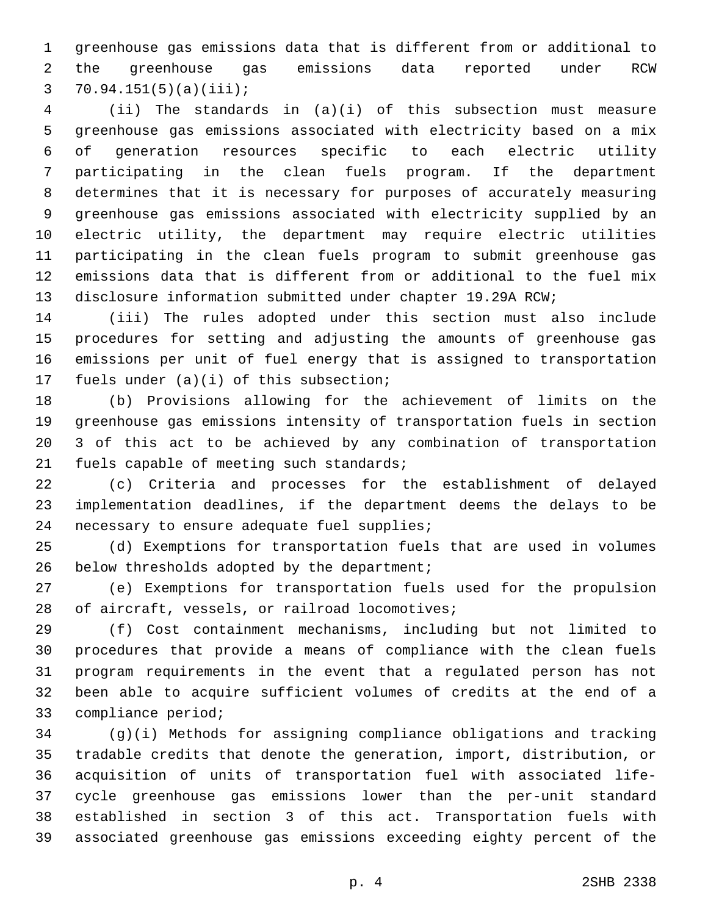greenhouse gas emissions data that is different from or additional to the greenhouse gas emissions data reported under RCW 3  $70.94.151(5)(a)(iii)$ ;

 (ii) The standards in (a)(i) of this subsection must measure greenhouse gas emissions associated with electricity based on a mix of generation resources specific to each electric utility participating in the clean fuels program. If the department determines that it is necessary for purposes of accurately measuring greenhouse gas emissions associated with electricity supplied by an electric utility, the department may require electric utilities participating in the clean fuels program to submit greenhouse gas emissions data that is different from or additional to the fuel mix disclosure information submitted under chapter 19.29A RCW;

 (iii) The rules adopted under this section must also include procedures for setting and adjusting the amounts of greenhouse gas emissions per unit of fuel energy that is assigned to transportation 17 fuels under  $(a)(i)$  of this subsection;

 (b) Provisions allowing for the achievement of limits on the greenhouse gas emissions intensity of transportation fuels in section 3 of this act to be achieved by any combination of transportation 21 fuels capable of meeting such standards;

 (c) Criteria and processes for the establishment of delayed implementation deadlines, if the department deems the delays to be 24 necessary to ensure adequate fuel supplies;

 (d) Exemptions for transportation fuels that are used in volumes 26 below thresholds adopted by the department;

 (e) Exemptions for transportation fuels used for the propulsion 28 of aircraft, vessels, or railroad locomotives;

 (f) Cost containment mechanisms, including but not limited to procedures that provide a means of compliance with the clean fuels program requirements in the event that a regulated person has not been able to acquire sufficient volumes of credits at the end of a 33 compliance period;

 (g)(i) Methods for assigning compliance obligations and tracking tradable credits that denote the generation, import, distribution, or acquisition of units of transportation fuel with associated life- cycle greenhouse gas emissions lower than the per-unit standard established in section 3 of this act. Transportation fuels with associated greenhouse gas emissions exceeding eighty percent of the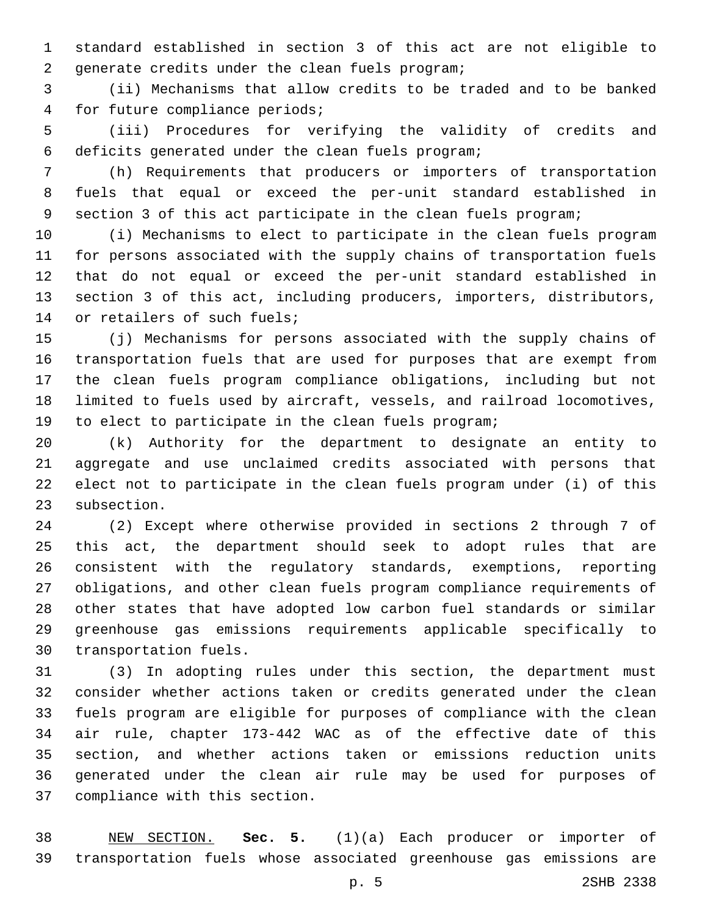standard established in section 3 of this act are not eligible to 2 generate credits under the clean fuels program;

 (ii) Mechanisms that allow credits to be traded and to be banked 4 for future compliance periods;

 (iii) Procedures for verifying the validity of credits and 6 deficits generated under the clean fuels program;

 (h) Requirements that producers or importers of transportation fuels that equal or exceed the per-unit standard established in section 3 of this act participate in the clean fuels program;

 (i) Mechanisms to elect to participate in the clean fuels program for persons associated with the supply chains of transportation fuels that do not equal or exceed the per-unit standard established in section 3 of this act, including producers, importers, distributors, 14 or retailers of such fuels;

 (j) Mechanisms for persons associated with the supply chains of transportation fuels that are used for purposes that are exempt from the clean fuels program compliance obligations, including but not limited to fuels used by aircraft, vessels, and railroad locomotives, to elect to participate in the clean fuels program;

 (k) Authority for the department to designate an entity to aggregate and use unclaimed credits associated with persons that elect not to participate in the clean fuels program under (i) of this subsection.

 (2) Except where otherwise provided in sections 2 through 7 of this act, the department should seek to adopt rules that are consistent with the regulatory standards, exemptions, reporting obligations, and other clean fuels program compliance requirements of other states that have adopted low carbon fuel standards or similar greenhouse gas emissions requirements applicable specifically to 30 transportation fuels.

 (3) In adopting rules under this section, the department must consider whether actions taken or credits generated under the clean fuels program are eligible for purposes of compliance with the clean air rule, chapter 173-442 WAC as of the effective date of this section, and whether actions taken or emissions reduction units generated under the clean air rule may be used for purposes of 37 compliance with this section.

 NEW SECTION. **Sec. 5.** (1)(a) Each producer or importer of transportation fuels whose associated greenhouse gas emissions are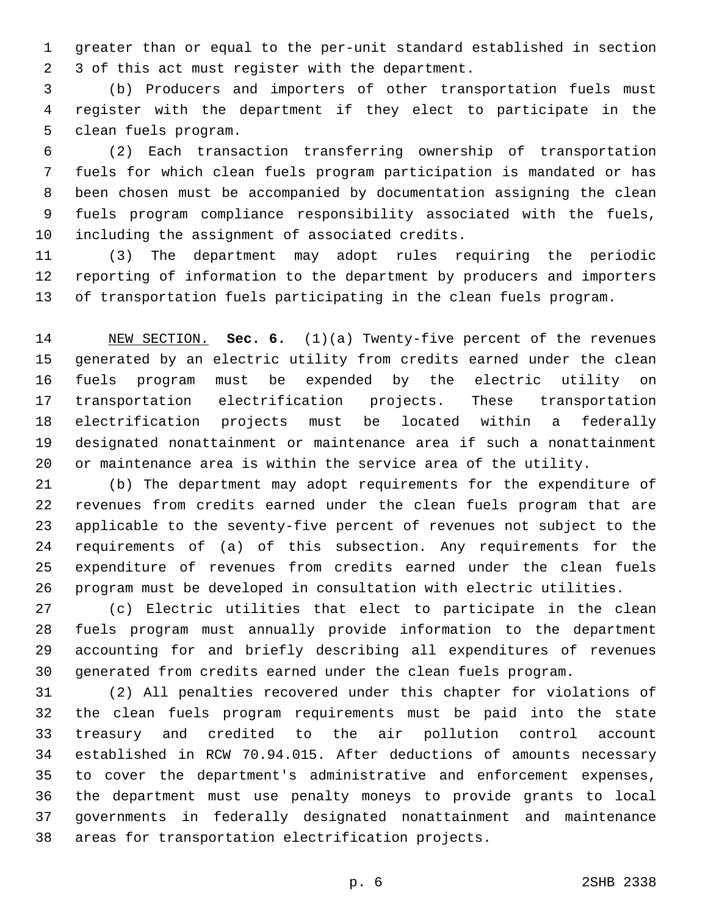greater than or equal to the per-unit standard established in section 3 of this act must register with the department.2

 (b) Producers and importers of other transportation fuels must register with the department if they elect to participate in the 5 clean fuels program.

 (2) Each transaction transferring ownership of transportation fuels for which clean fuels program participation is mandated or has been chosen must be accompanied by documentation assigning the clean fuels program compliance responsibility associated with the fuels, 10 including the assignment of associated credits.

 (3) The department may adopt rules requiring the periodic reporting of information to the department by producers and importers of transportation fuels participating in the clean fuels program.

 NEW SECTION. **Sec. 6.** (1)(a) Twenty-five percent of the revenues generated by an electric utility from credits earned under the clean fuels program must be expended by the electric utility on transportation electrification projects. These transportation electrification projects must be located within a federally designated nonattainment or maintenance area if such a nonattainment or maintenance area is within the service area of the utility.

 (b) The department may adopt requirements for the expenditure of revenues from credits earned under the clean fuels program that are applicable to the seventy-five percent of revenues not subject to the requirements of (a) of this subsection. Any requirements for the expenditure of revenues from credits earned under the clean fuels program must be developed in consultation with electric utilities.

 (c) Electric utilities that elect to participate in the clean fuels program must annually provide information to the department accounting for and briefly describing all expenditures of revenues generated from credits earned under the clean fuels program.

 (2) All penalties recovered under this chapter for violations of the clean fuels program requirements must be paid into the state treasury and credited to the air pollution control account established in RCW 70.94.015. After deductions of amounts necessary to cover the department's administrative and enforcement expenses, the department must use penalty moneys to provide grants to local governments in federally designated nonattainment and maintenance areas for transportation electrification projects.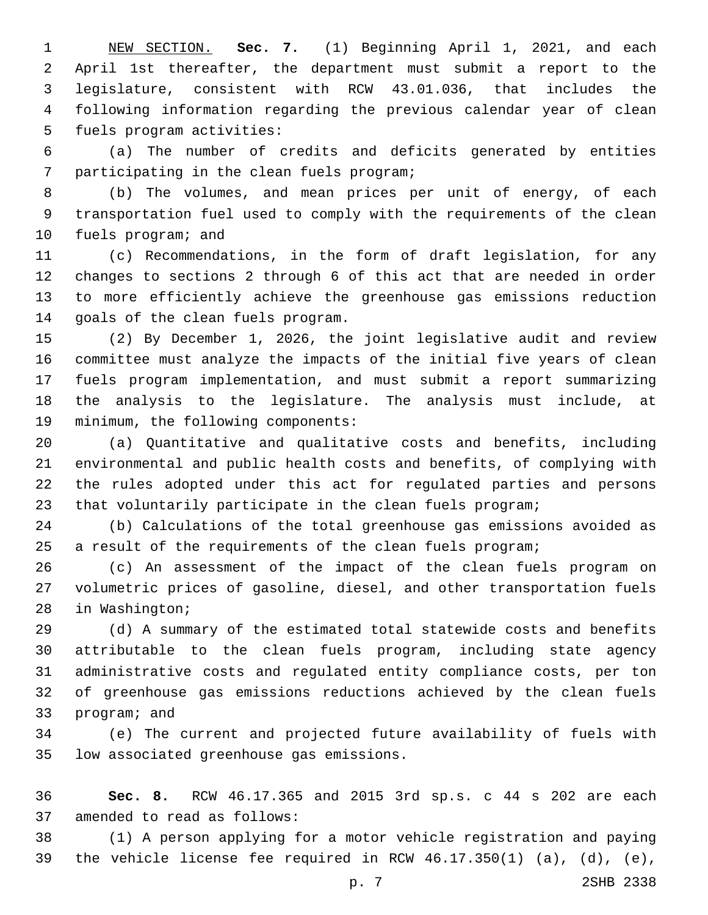NEW SECTION. **Sec. 7.** (1) Beginning April 1, 2021, and each April 1st thereafter, the department must submit a report to the legislature, consistent with RCW 43.01.036, that includes the following information regarding the previous calendar year of clean fuels program activities:

 (a) The number of credits and deficits generated by entities 7 participating in the clean fuels program;

 (b) The volumes, and mean prices per unit of energy, of each transportation fuel used to comply with the requirements of the clean 10 fuels program; and

 (c) Recommendations, in the form of draft legislation, for any changes to sections 2 through 6 of this act that are needed in order to more efficiently achieve the greenhouse gas emissions reduction 14 goals of the clean fuels program.

 (2) By December 1, 2026, the joint legislative audit and review committee must analyze the impacts of the initial five years of clean fuels program implementation, and must submit a report summarizing the analysis to the legislature. The analysis must include, at 19 minimum, the following components:

 (a) Quantitative and qualitative costs and benefits, including environmental and public health costs and benefits, of complying with the rules adopted under this act for regulated parties and persons that voluntarily participate in the clean fuels program;

 (b) Calculations of the total greenhouse gas emissions avoided as a result of the requirements of the clean fuels program;

 (c) An assessment of the impact of the clean fuels program on volumetric prices of gasoline, diesel, and other transportation fuels 28 in Washington;

 (d) A summary of the estimated total statewide costs and benefits attributable to the clean fuels program, including state agency administrative costs and regulated entity compliance costs, per ton of greenhouse gas emissions reductions achieved by the clean fuels 33 program; and

 (e) The current and projected future availability of fuels with 35 low associated greenhouse gas emissions.

 **Sec. 8.** RCW 46.17.365 and 2015 3rd sp.s. c 44 s 202 are each 37 amended to read as follows:

 (1) A person applying for a motor vehicle registration and paying 39 the vehicle license fee required in RCW  $46.17.350(1)$  (a), (d), (e),

p. 7 2SHB 2338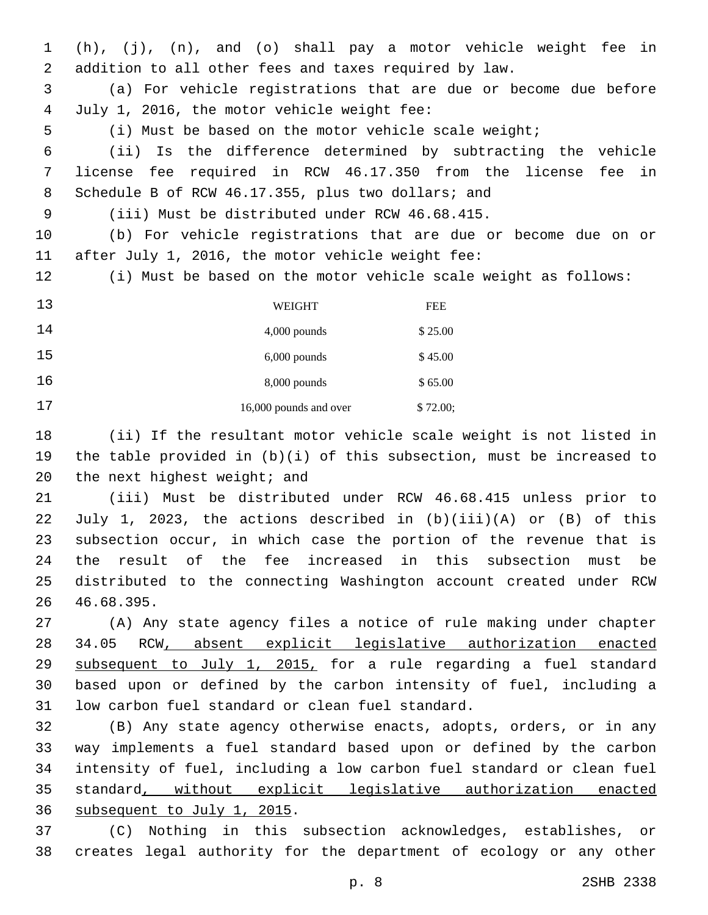(h), (j), (n), and (o) shall pay a motor vehicle weight fee in addition to all other fees and taxes required by law.

 (a) For vehicle registrations that are due or become due before July 1, 2016, the motor vehicle weight fee:4

(i) Must be based on the motor vehicle scale weight;

 (ii) Is the difference determined by subtracting the vehicle license fee required in RCW 46.17.350 from the license fee in 8 Schedule B of RCW 46.17.355, plus two dollars; and

(iii) Must be distributed under RCW 46.68.415.9

 (b) For vehicle registrations that are due or become due on or 11 after July 1, 2016, the motor vehicle weight fee:

(i) Must be based on the motor vehicle scale weight as follows:

| 13 | WEIGHT                 | <b>FEE</b> |
|----|------------------------|------------|
| 14 | $4,000$ pounds         | \$25.00    |
| 15 | $6,000$ pounds         | \$45.00    |
| 16 | $8,000$ pounds         | \$65.00    |
| 17 | 16,000 pounds and over | \$72.00;   |

 (ii) If the resultant motor vehicle scale weight is not listed in the table provided in (b)(i) of this subsection, must be increased to 20 the next highest weight; and

 (iii) Must be distributed under RCW 46.68.415 unless prior to July 1, 2023, the actions described in (b)(iii)(A) or (B) of this subsection occur, in which case the portion of the revenue that is the result of the fee increased in this subsection must be distributed to the connecting Washington account created under RCW 46.68.395.26

 (A) Any state agency files a notice of rule making under chapter 34.05 RCW, absent explicit legislative authorization enacted 29 subsequent to July 1, 2015, for a rule regarding a fuel standard based upon or defined by the carbon intensity of fuel, including a 31 low carbon fuel standard or clean fuel standard.

 (B) Any state agency otherwise enacts, adopts, orders, or in any way implements a fuel standard based upon or defined by the carbon intensity of fuel, including a low carbon fuel standard or clean fuel standard, without explicit legislative authorization enacted 36 subsequent to July 1, 2015.

 (C) Nothing in this subsection acknowledges, establishes, or creates legal authority for the department of ecology or any other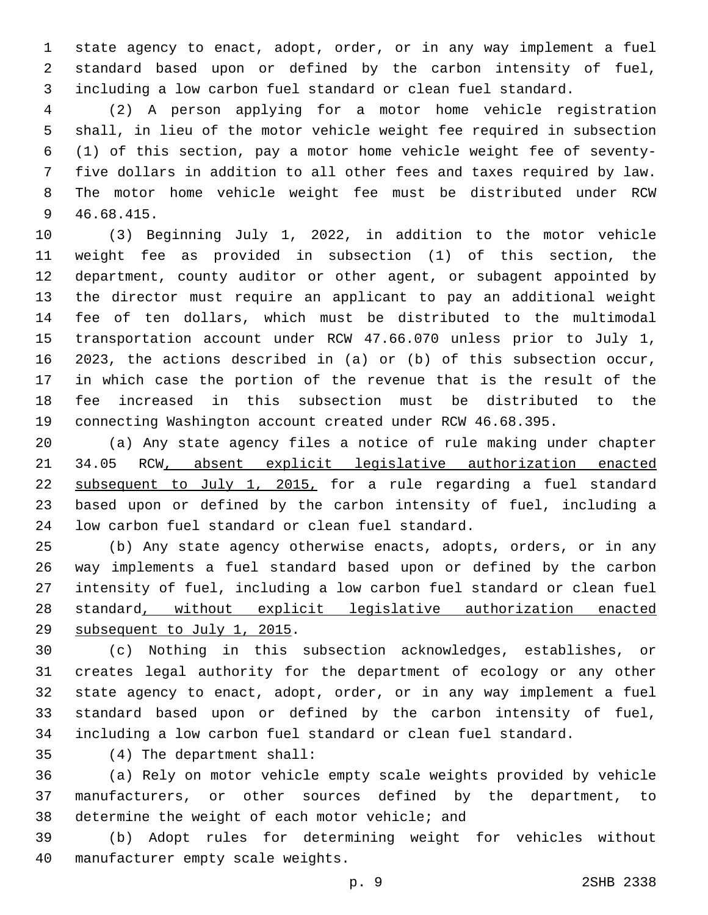state agency to enact, adopt, order, or in any way implement a fuel standard based upon or defined by the carbon intensity of fuel, including a low carbon fuel standard or clean fuel standard.

 (2) A person applying for a motor home vehicle registration shall, in lieu of the motor vehicle weight fee required in subsection (1) of this section, pay a motor home vehicle weight fee of seventy- five dollars in addition to all other fees and taxes required by law. The motor home vehicle weight fee must be distributed under RCW 46.68.415.9

 (3) Beginning July 1, 2022, in addition to the motor vehicle weight fee as provided in subsection (1) of this section, the department, county auditor or other agent, or subagent appointed by the director must require an applicant to pay an additional weight fee of ten dollars, which must be distributed to the multimodal transportation account under RCW 47.66.070 unless prior to July 1, 2023, the actions described in (a) or (b) of this subsection occur, in which case the portion of the revenue that is the result of the fee increased in this subsection must be distributed to the connecting Washington account created under RCW 46.68.395.

 (a) Any state agency files a notice of rule making under chapter 34.05 RCW, absent explicit legislative authorization enacted subsequent to July 1, 2015, for a rule regarding a fuel standard based upon or defined by the carbon intensity of fuel, including a 24 low carbon fuel standard or clean fuel standard.

 (b) Any state agency otherwise enacts, adopts, orders, or in any way implements a fuel standard based upon or defined by the carbon intensity of fuel, including a low carbon fuel standard or clean fuel standard, without explicit legislative authorization enacted 29 subsequent to July 1, 2015.

 (c) Nothing in this subsection acknowledges, establishes, or creates legal authority for the department of ecology or any other state agency to enact, adopt, order, or in any way implement a fuel standard based upon or defined by the carbon intensity of fuel, including a low carbon fuel standard or clean fuel standard.

(4) The department shall:35

 (a) Rely on motor vehicle empty scale weights provided by vehicle manufacturers, or other sources defined by the department, to 38 determine the weight of each motor vehicle; and

 (b) Adopt rules for determining weight for vehicles without 40 manufacturer empty scale weights.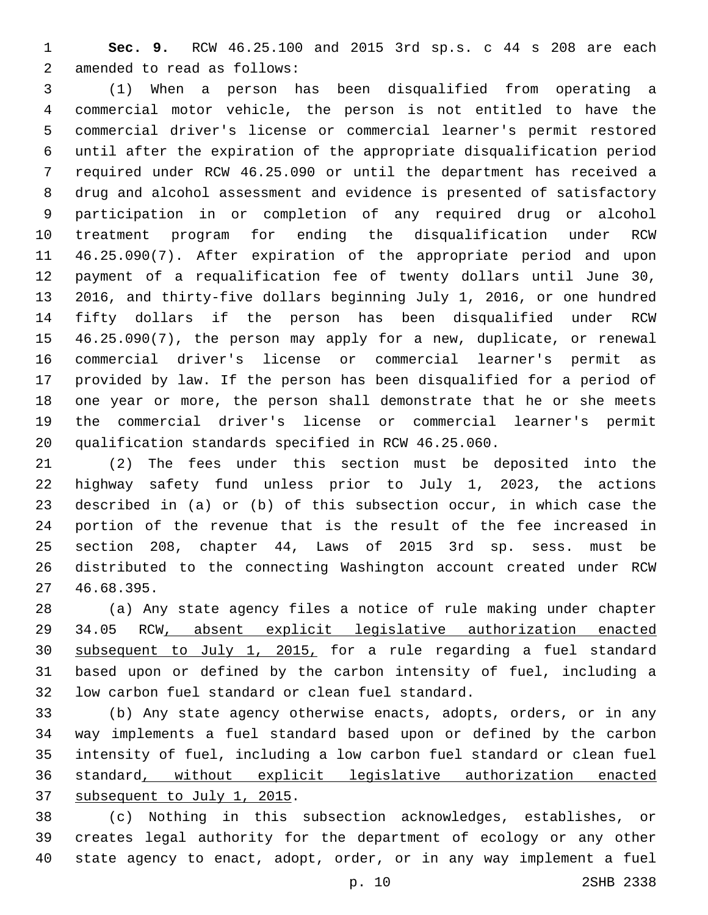**Sec. 9.** RCW 46.25.100 and 2015 3rd sp.s. c 44 s 208 are each 2 amended to read as follows:

 (1) When a person has been disqualified from operating a commercial motor vehicle, the person is not entitled to have the commercial driver's license or commercial learner's permit restored until after the expiration of the appropriate disqualification period required under RCW 46.25.090 or until the department has received a drug and alcohol assessment and evidence is presented of satisfactory participation in or completion of any required drug or alcohol treatment program for ending the disqualification under RCW 46.25.090(7). After expiration of the appropriate period and upon payment of a requalification fee of twenty dollars until June 30, 2016, and thirty-five dollars beginning July 1, 2016, or one hundred fifty dollars if the person has been disqualified under RCW 46.25.090(7), the person may apply for a new, duplicate, or renewal commercial driver's license or commercial learner's permit as provided by law. If the person has been disqualified for a period of one year or more, the person shall demonstrate that he or she meets the commercial driver's license or commercial learner's permit qualification standards specified in RCW 46.25.060.

 (2) The fees under this section must be deposited into the highway safety fund unless prior to July 1, 2023, the actions described in (a) or (b) of this subsection occur, in which case the portion of the revenue that is the result of the fee increased in section 208, chapter 44, Laws of 2015 3rd sp. sess. must be distributed to the connecting Washington account created under RCW 46.68.395.27

 (a) Any state agency files a notice of rule making under chapter 34.05 RCW, absent explicit legislative authorization enacted subsequent to July 1, 2015, for a rule regarding a fuel standard based upon or defined by the carbon intensity of fuel, including a 32 low carbon fuel standard or clean fuel standard.

 (b) Any state agency otherwise enacts, adopts, orders, or in any way implements a fuel standard based upon or defined by the carbon intensity of fuel, including a low carbon fuel standard or clean fuel standard, without explicit legislative authorization enacted 37 subsequent to July 1, 2015.

 (c) Nothing in this subsection acknowledges, establishes, or creates legal authority for the department of ecology or any other state agency to enact, adopt, order, or in any way implement a fuel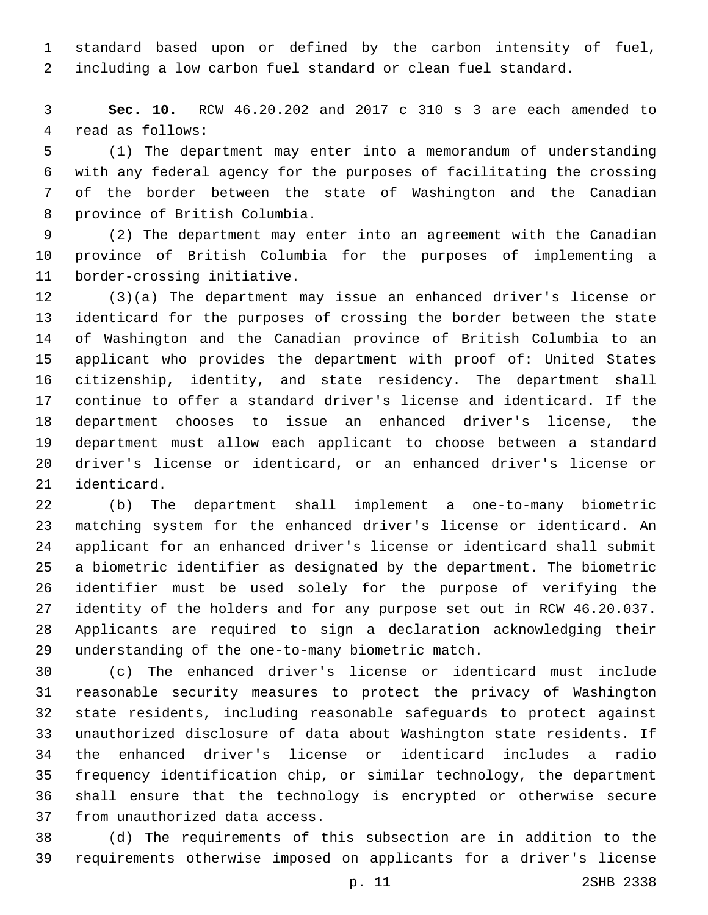standard based upon or defined by the carbon intensity of fuel, including a low carbon fuel standard or clean fuel standard.

 **Sec. 10.** RCW 46.20.202 and 2017 c 310 s 3 are each amended to 4 read as follows:

 (1) The department may enter into a memorandum of understanding with any federal agency for the purposes of facilitating the crossing of the border between the state of Washington and the Canadian 8 province of British Columbia.

 (2) The department may enter into an agreement with the Canadian province of British Columbia for the purposes of implementing a 11 border-crossing initiative.

 (3)(a) The department may issue an enhanced driver's license or identicard for the purposes of crossing the border between the state of Washington and the Canadian province of British Columbia to an applicant who provides the department with proof of: United States citizenship, identity, and state residency. The department shall continue to offer a standard driver's license and identicard. If the department chooses to issue an enhanced driver's license, the department must allow each applicant to choose between a standard driver's license or identicard, or an enhanced driver's license or 21 identicard.

 (b) The department shall implement a one-to-many biometric matching system for the enhanced driver's license or identicard. An applicant for an enhanced driver's license or identicard shall submit a biometric identifier as designated by the department. The biometric identifier must be used solely for the purpose of verifying the identity of the holders and for any purpose set out in RCW 46.20.037. Applicants are required to sign a declaration acknowledging their 29 understanding of the one-to-many biometric match.

 (c) The enhanced driver's license or identicard must include reasonable security measures to protect the privacy of Washington state residents, including reasonable safeguards to protect against unauthorized disclosure of data about Washington state residents. If the enhanced driver's license or identicard includes a radio frequency identification chip, or similar technology, the department shall ensure that the technology is encrypted or otherwise secure 37 from unauthorized data access.

 (d) The requirements of this subsection are in addition to the requirements otherwise imposed on applicants for a driver's license

p. 11 2SHB 2338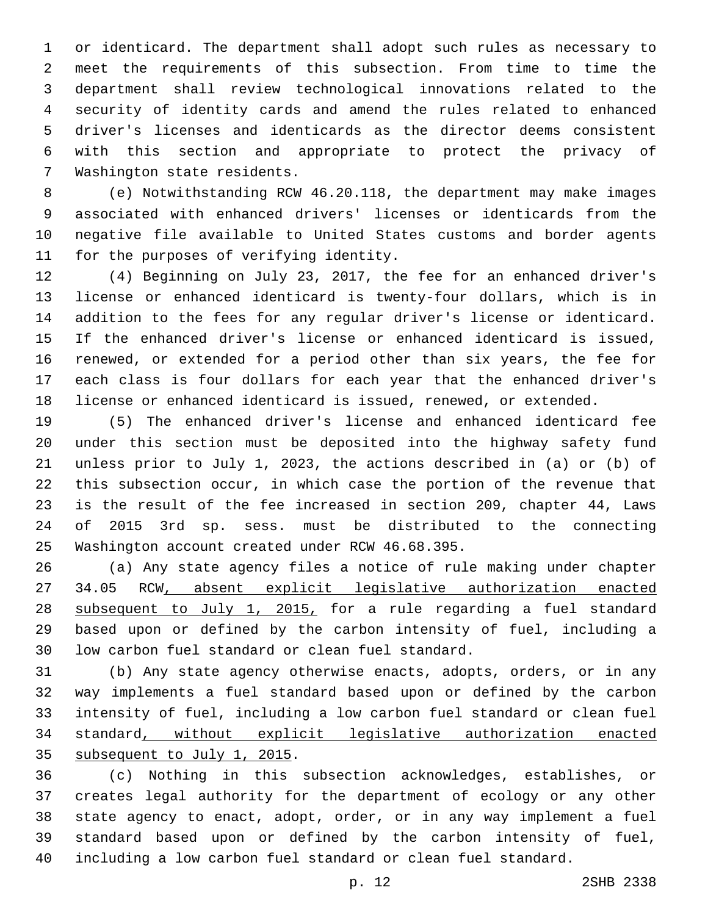or identicard. The department shall adopt such rules as necessary to meet the requirements of this subsection. From time to time the department shall review technological innovations related to the security of identity cards and amend the rules related to enhanced driver's licenses and identicards as the director deems consistent with this section and appropriate to protect the privacy of 7 Washington state residents.

 (e) Notwithstanding RCW 46.20.118, the department may make images associated with enhanced drivers' licenses or identicards from the negative file available to United States customs and border agents 11 for the purposes of verifying identity.

 (4) Beginning on July 23, 2017, the fee for an enhanced driver's license or enhanced identicard is twenty-four dollars, which is in addition to the fees for any regular driver's license or identicard. If the enhanced driver's license or enhanced identicard is issued, renewed, or extended for a period other than six years, the fee for each class is four dollars for each year that the enhanced driver's license or enhanced identicard is issued, renewed, or extended.

 (5) The enhanced driver's license and enhanced identicard fee under this section must be deposited into the highway safety fund unless prior to July 1, 2023, the actions described in (a) or (b) of this subsection occur, in which case the portion of the revenue that is the result of the fee increased in section 209, chapter 44, Laws of 2015 3rd sp. sess. must be distributed to the connecting 25 Washington account created under RCW 46.68.395.

 (a) Any state agency files a notice of rule making under chapter 34.05 RCW, absent explicit legislative authorization enacted subsequent to July 1, 2015, for a rule regarding a fuel standard based upon or defined by the carbon intensity of fuel, including a 30 low carbon fuel standard or clean fuel standard.

 (b) Any state agency otherwise enacts, adopts, orders, or in any way implements a fuel standard based upon or defined by the carbon intensity of fuel, including a low carbon fuel standard or clean fuel standard, without explicit legislative authorization enacted 35 subsequent to July 1, 2015.

 (c) Nothing in this subsection acknowledges, establishes, or creates legal authority for the department of ecology or any other state agency to enact, adopt, order, or in any way implement a fuel standard based upon or defined by the carbon intensity of fuel, including a low carbon fuel standard or clean fuel standard.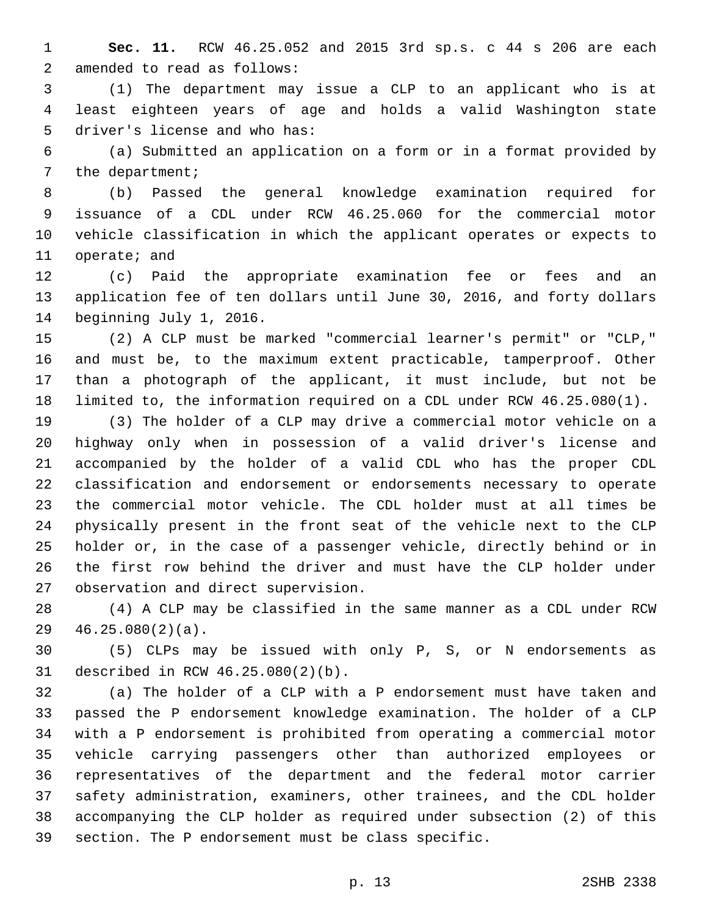**Sec. 11.** RCW 46.25.052 and 2015 3rd sp.s. c 44 s 206 are each 2 amended to read as follows:

 (1) The department may issue a CLP to an applicant who is at least eighteen years of age and holds a valid Washington state 5 driver's license and who has:

 (a) Submitted an application on a form or in a format provided by 7 the department;

 (b) Passed the general knowledge examination required for issuance of a CDL under RCW 46.25.060 for the commercial motor vehicle classification in which the applicant operates or expects to 11 operate; and

 (c) Paid the appropriate examination fee or fees and an application fee of ten dollars until June 30, 2016, and forty dollars 14 beginning July 1, 2016.

 (2) A CLP must be marked "commercial learner's permit" or "CLP," and must be, to the maximum extent practicable, tamperproof. Other than a photograph of the applicant, it must include, but not be limited to, the information required on a CDL under RCW 46.25.080(1).

 (3) The holder of a CLP may drive a commercial motor vehicle on a highway only when in possession of a valid driver's license and accompanied by the holder of a valid CDL who has the proper CDL classification and endorsement or endorsements necessary to operate the commercial motor vehicle. The CDL holder must at all times be physically present in the front seat of the vehicle next to the CLP holder or, in the case of a passenger vehicle, directly behind or in the first row behind the driver and must have the CLP holder under 27 observation and direct supervision.

 (4) A CLP may be classified in the same manner as a CDL under RCW  $46.25.080(2)(a)$ .

 (5) CLPs may be issued with only P, S, or N endorsements as 31 described in RCW 46.25.080(2)(b).

 (a) The holder of a CLP with a P endorsement must have taken and passed the P endorsement knowledge examination. The holder of a CLP with a P endorsement is prohibited from operating a commercial motor vehicle carrying passengers other than authorized employees or representatives of the department and the federal motor carrier safety administration, examiners, other trainees, and the CDL holder accompanying the CLP holder as required under subsection (2) of this section. The P endorsement must be class specific.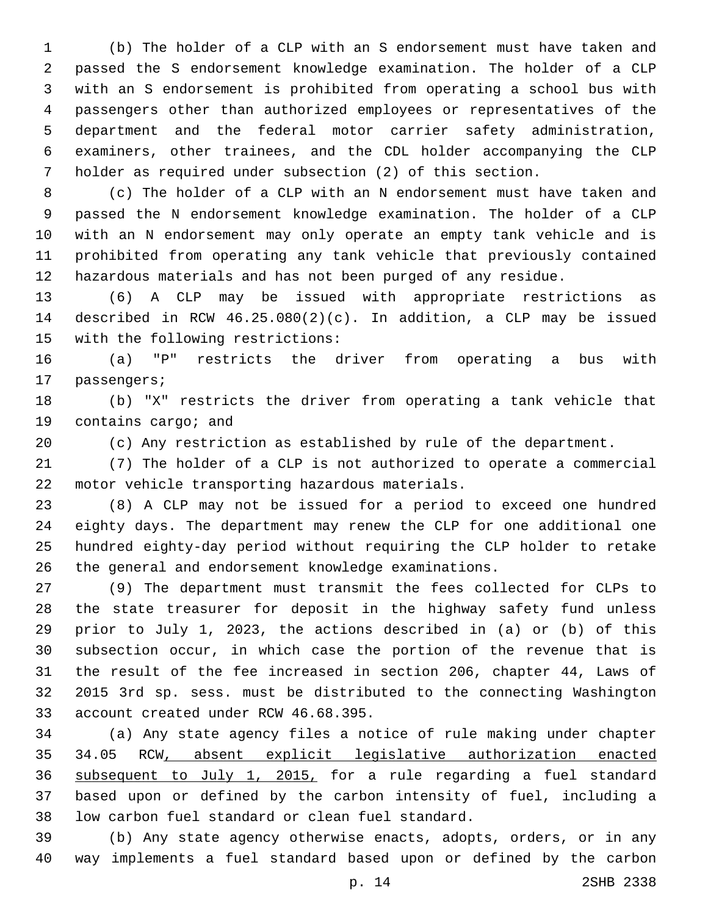(b) The holder of a CLP with an S endorsement must have taken and passed the S endorsement knowledge examination. The holder of a CLP with an S endorsement is prohibited from operating a school bus with passengers other than authorized employees or representatives of the department and the federal motor carrier safety administration, examiners, other trainees, and the CDL holder accompanying the CLP holder as required under subsection (2) of this section.

 (c) The holder of a CLP with an N endorsement must have taken and passed the N endorsement knowledge examination. The holder of a CLP with an N endorsement may only operate an empty tank vehicle and is prohibited from operating any tank vehicle that previously contained hazardous materials and has not been purged of any residue.

 (6) A CLP may be issued with appropriate restrictions as described in RCW 46.25.080(2)(c). In addition, a CLP may be issued 15 with the following restrictions:

 (a) "P" restricts the driver from operating a bus with 17 passengers;

 (b) "X" restricts the driver from operating a tank vehicle that 19 contains cargo; and

(c) Any restriction as established by rule of the department.

 (7) The holder of a CLP is not authorized to operate a commercial 22 motor vehicle transporting hazardous materials.

 (8) A CLP may not be issued for a period to exceed one hundred eighty days. The department may renew the CLP for one additional one hundred eighty-day period without requiring the CLP holder to retake the general and endorsement knowledge examinations.

 (9) The department must transmit the fees collected for CLPs to the state treasurer for deposit in the highway safety fund unless prior to July 1, 2023, the actions described in (a) or (b) of this subsection occur, in which case the portion of the revenue that is the result of the fee increased in section 206, chapter 44, Laws of 2015 3rd sp. sess. must be distributed to the connecting Washington 33 account created under RCW 46.68.395.

 (a) Any state agency files a notice of rule making under chapter 34.05 RCW, absent explicit legislative authorization enacted subsequent to July 1, 2015, for a rule regarding a fuel standard based upon or defined by the carbon intensity of fuel, including a 38 low carbon fuel standard or clean fuel standard.

 (b) Any state agency otherwise enacts, adopts, orders, or in any way implements a fuel standard based upon or defined by the carbon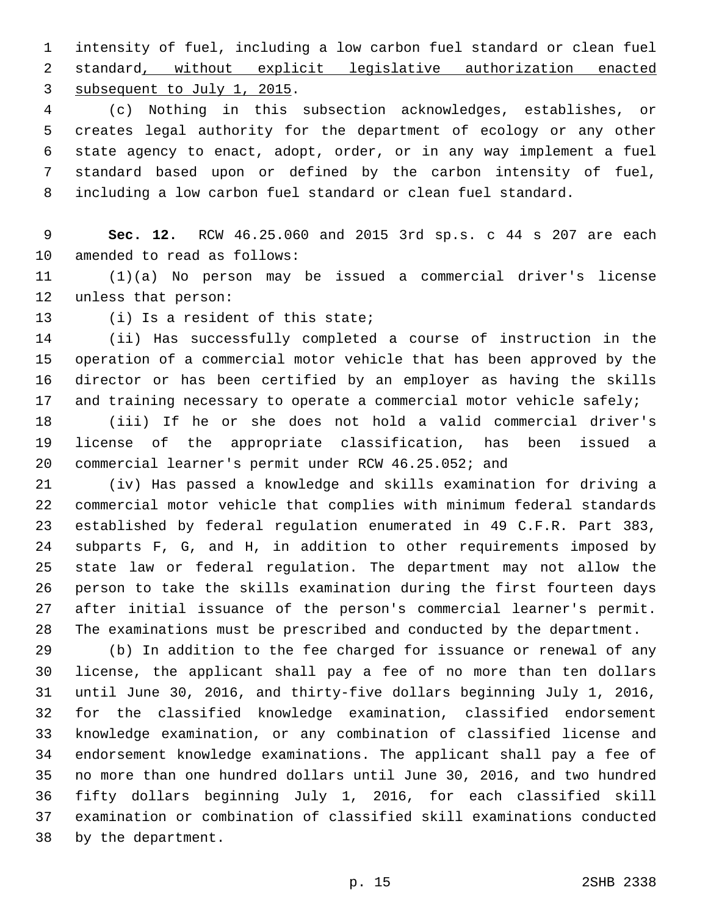intensity of fuel, including a low carbon fuel standard or clean fuel standard, without explicit legislative authorization enacted 3 subsequent to July 1, 2015.

 (c) Nothing in this subsection acknowledges, establishes, or creates legal authority for the department of ecology or any other state agency to enact, adopt, order, or in any way implement a fuel standard based upon or defined by the carbon intensity of fuel, including a low carbon fuel standard or clean fuel standard.

 **Sec. 12.** RCW 46.25.060 and 2015 3rd sp.s. c 44 s 207 are each 10 amended to read as follows:

 (1)(a) No person may be issued a commercial driver's license 12 unless that person:

13 (i) Is a resident of this state;

 (ii) Has successfully completed a course of instruction in the operation of a commercial motor vehicle that has been approved by the director or has been certified by an employer as having the skills and training necessary to operate a commercial motor vehicle safely;

 (iii) If he or she does not hold a valid commercial driver's license of the appropriate classification, has been issued a commercial learner's permit under RCW 46.25.052; and

 (iv) Has passed a knowledge and skills examination for driving a commercial motor vehicle that complies with minimum federal standards established by federal regulation enumerated in 49 C.F.R. Part 383, subparts F, G, and H, in addition to other requirements imposed by state law or federal regulation. The department may not allow the person to take the skills examination during the first fourteen days after initial issuance of the person's commercial learner's permit. The examinations must be prescribed and conducted by the department.

 (b) In addition to the fee charged for issuance or renewal of any license, the applicant shall pay a fee of no more than ten dollars until June 30, 2016, and thirty-five dollars beginning July 1, 2016, for the classified knowledge examination, classified endorsement knowledge examination, or any combination of classified license and endorsement knowledge examinations. The applicant shall pay a fee of no more than one hundred dollars until June 30, 2016, and two hundred fifty dollars beginning July 1, 2016, for each classified skill examination or combination of classified skill examinations conducted 38 by the department.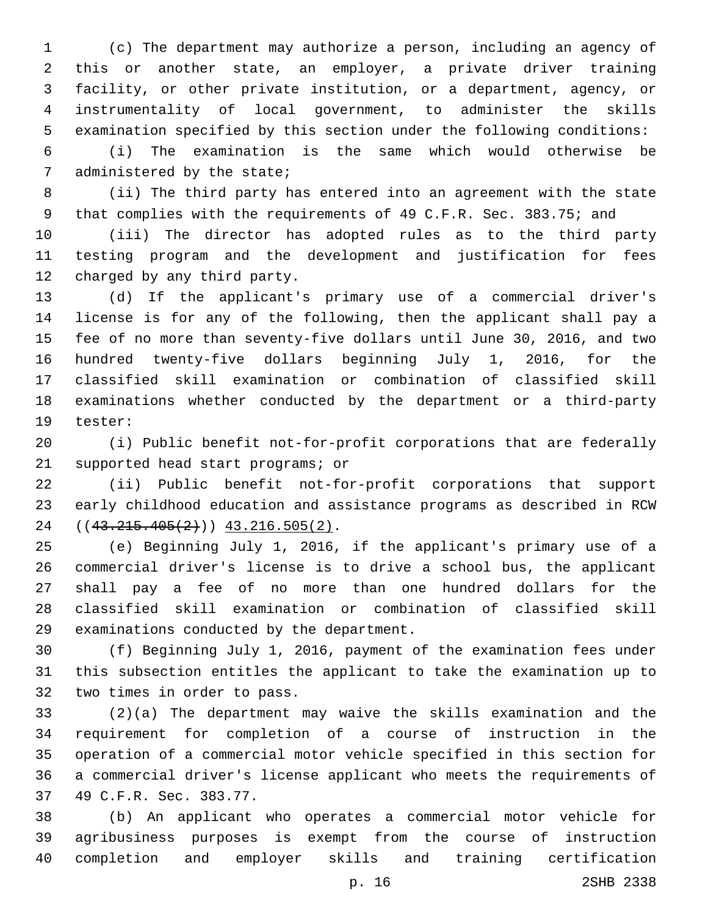(c) The department may authorize a person, including an agency of this or another state, an employer, a private driver training facility, or other private institution, or a department, agency, or instrumentality of local government, to administer the skills examination specified by this section under the following conditions:

 (i) The examination is the same which would otherwise be 7 administered by the state;

 (ii) The third party has entered into an agreement with the state 9 that complies with the requirements of 49 C.F.R. Sec. 383.75; and

 (iii) The director has adopted rules as to the third party testing program and the development and justification for fees 12 charged by any third party.

 (d) If the applicant's primary use of a commercial driver's license is for any of the following, then the applicant shall pay a fee of no more than seventy-five dollars until June 30, 2016, and two hundred twenty-five dollars beginning July 1, 2016, for the classified skill examination or combination of classified skill examinations whether conducted by the department or a third-party 19 tester:

 (i) Public benefit not-for-profit corporations that are federally 21 supported head start programs; or

 (ii) Public benefit not-for-profit corporations that support early childhood education and assistance programs as described in RCW  $((43.215.405(2)))$   $43.216.505(2)$ .

 (e) Beginning July 1, 2016, if the applicant's primary use of a commercial driver's license is to drive a school bus, the applicant shall pay a fee of no more than one hundred dollars for the classified skill examination or combination of classified skill 29 examinations conducted by the department.

 (f) Beginning July 1, 2016, payment of the examination fees under this subsection entitles the applicant to take the examination up to 32 two times in order to pass.

 (2)(a) The department may waive the skills examination and the requirement for completion of a course of instruction in the operation of a commercial motor vehicle specified in this section for a commercial driver's license applicant who meets the requirements of 37 49 C.F.R. Sec. 383.77.

 (b) An applicant who operates a commercial motor vehicle for agribusiness purposes is exempt from the course of instruction completion and employer skills and training certification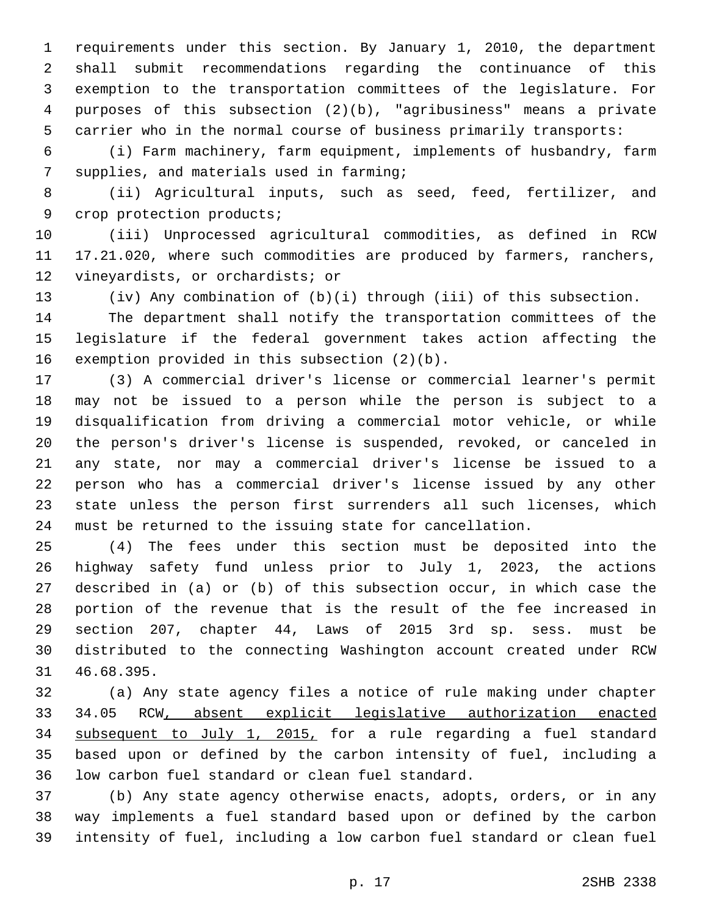requirements under this section. By January 1, 2010, the department shall submit recommendations regarding the continuance of this exemption to the transportation committees of the legislature. For purposes of this subsection (2)(b), "agribusiness" means a private carrier who in the normal course of business primarily transports:

 (i) Farm machinery, farm equipment, implements of husbandry, farm 7 supplies, and materials used in farming;

 (ii) Agricultural inputs, such as seed, feed, fertilizer, and 9 crop protection products;

 (iii) Unprocessed agricultural commodities, as defined in RCW 17.21.020, where such commodities are produced by farmers, ranchers, 12 vineyardists, or orchardists; or

(iv) Any combination of (b)(i) through (iii) of this subsection.

 The department shall notify the transportation committees of the legislature if the federal government takes action affecting the 16 exemption provided in this subsection  $(2)(b)$ .

 (3) A commercial driver's license or commercial learner's permit may not be issued to a person while the person is subject to a disqualification from driving a commercial motor vehicle, or while the person's driver's license is suspended, revoked, or canceled in any state, nor may a commercial driver's license be issued to a person who has a commercial driver's license issued by any other state unless the person first surrenders all such licenses, which must be returned to the issuing state for cancellation.

 (4) The fees under this section must be deposited into the highway safety fund unless prior to July 1, 2023, the actions described in (a) or (b) of this subsection occur, in which case the portion of the revenue that is the result of the fee increased in section 207, chapter 44, Laws of 2015 3rd sp. sess. must be distributed to the connecting Washington account created under RCW 31 46.68.395.

 (a) Any state agency files a notice of rule making under chapter 34.05 RCW, absent explicit legislative authorization enacted subsequent to July 1, 2015, for a rule regarding a fuel standard based upon or defined by the carbon intensity of fuel, including a 36 low carbon fuel standard or clean fuel standard.

 (b) Any state agency otherwise enacts, adopts, orders, or in any way implements a fuel standard based upon or defined by the carbon intensity of fuel, including a low carbon fuel standard or clean fuel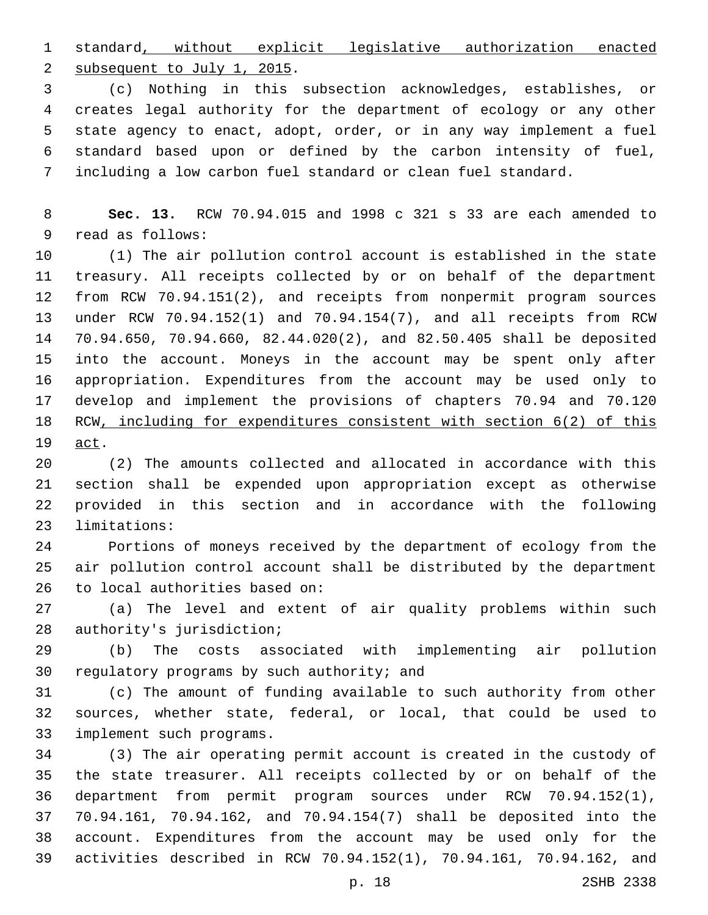standard, without explicit legislative authorization enacted 2 subsequent to July 1, 2015.

 (c) Nothing in this subsection acknowledges, establishes, or creates legal authority for the department of ecology or any other state agency to enact, adopt, order, or in any way implement a fuel standard based upon or defined by the carbon intensity of fuel, including a low carbon fuel standard or clean fuel standard.

 **Sec. 13.** RCW 70.94.015 and 1998 c 321 s 33 are each amended to 9 read as follows:

 (1) The air pollution control account is established in the state treasury. All receipts collected by or on behalf of the department from RCW 70.94.151(2), and receipts from nonpermit program sources under RCW 70.94.152(1) and 70.94.154(7), and all receipts from RCW 70.94.650, 70.94.660, 82.44.020(2), and 82.50.405 shall be deposited into the account. Moneys in the account may be spent only after appropriation. Expenditures from the account may be used only to develop and implement the provisions of chapters 70.94 and 70.120 RCW, including for expenditures consistent with section 6(2) of this 19 act.

 (2) The amounts collected and allocated in accordance with this section shall be expended upon appropriation except as otherwise provided in this section and in accordance with the following 23 limitations:

 Portions of moneys received by the department of ecology from the air pollution control account shall be distributed by the department 26 to local authorities based on:

 (a) The level and extent of air quality problems within such 28 authority's jurisdiction;

 (b) The costs associated with implementing air pollution 30 regulatory programs by such authority; and

 (c) The amount of funding available to such authority from other sources, whether state, federal, or local, that could be used to 33 implement such programs.

 (3) The air operating permit account is created in the custody of the state treasurer. All receipts collected by or on behalf of the department from permit program sources under RCW 70.94.152(1), 70.94.161, 70.94.162, and 70.94.154(7) shall be deposited into the account. Expenditures from the account may be used only for the activities described in RCW 70.94.152(1), 70.94.161, 70.94.162, and

p. 18 2SHB 2338